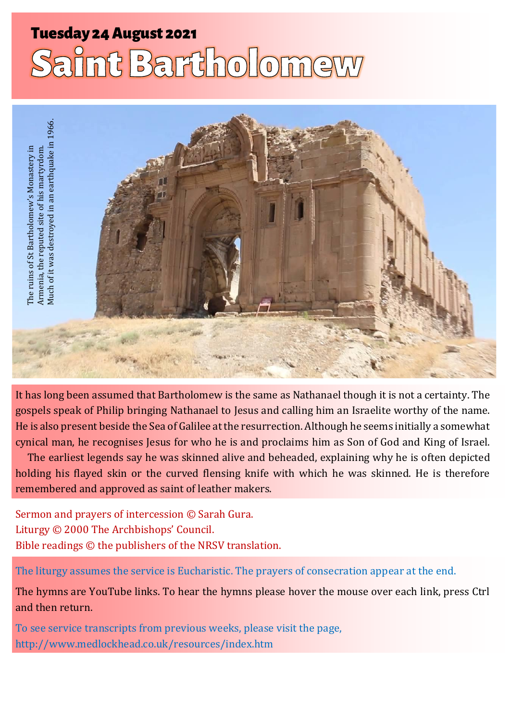# **Tuesday 24 August 2021** Saint Bartholomew



It has long been assumed that Bartholomew is the same as Nathanael though it is not a certainty. The gospels speak of Philip bringing Nathanael to Jesus and calling him an Israelite worthy of the name. He is also present beside the Sea of Galilee at the resurrection. Although he seems initially a somewhat cynical man, he recognises Jesus for who he is and proclaims him as Son of God and King of Israel.

The earliest legends say he was skinned alive and beheaded, explaining why he is often depicted holding his flayed skin or the curved flensing knife with which he was skinned. He is therefore remembered and approved as saint of leather makers.

Sermon and prayers of intercession © Sarah Gura. Liturgy © 2000 The Archbishops' Council. Bible readings © the publishers of the NRSV translation.

The liturgy assumes the service is Eucharistic. The prayers of consecration appear at the end.

The hymns are YouTube links. To hear the hymns please hover the mouse over each link, press Ctrl and then return.

To see service transcripts from previous weeks, please visit the page, <http://www.medlockhead.co.uk/resources/index.htm>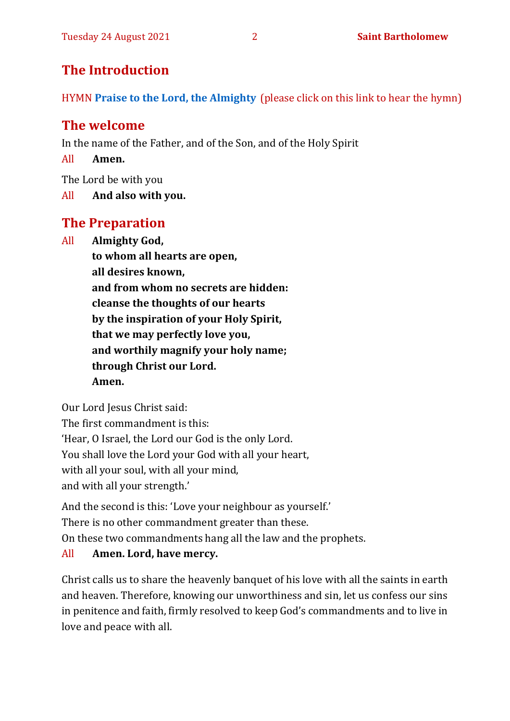# **The Introduction**

HYMN **[Praise to the Lord, the Almighty](https://www.youtube.com/watch?v=_vegvb1u5s4)** (please click on this link to hear the hymn)

# **The welcome**

In the name of the Father, and of the Son, and of the Holy Spirit

All **Amen.**

The Lord be with you

All **And also with you.**

# **The Preparation**

All **Almighty God,**

**to whom all hearts are open, all desires known, and from whom no secrets are hidden: cleanse the thoughts of our hearts by the inspiration of your Holy Spirit, that we may perfectly love you, and worthily magnify your holy name; through Christ our Lord. Amen.**

Our Lord Jesus Christ said:

The first commandment is this:

'Hear, O Israel, the Lord our God is the only Lord.

You shall love the Lord your God with all your heart,

with all your soul, with all your mind,

and with all your strength.'

And the second is this: 'Love your neighbour as yourself.'

There is no other commandment greater than these.

On these two commandments hang all the law and the prophets.

## All **Amen. Lord, have mercy.**

Christ calls us to share the heavenly banquet of his love with all the saints in earth and heaven. Therefore, knowing our unworthiness and sin, let us confess our sins in penitence and faith, firmly resolved to keep God's commandments and to live in love and peace with all.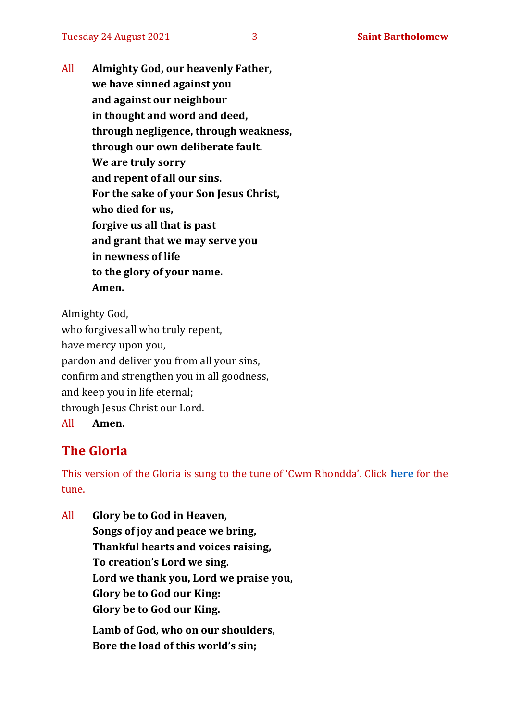All **Almighty God, our heavenly Father, we have sinned against you and against our neighbour in thought and word and deed, through negligence, through weakness, through our own deliberate fault. We are truly sorry and repent of all our sins. For the sake of your Son Jesus Christ, who died for us, forgive us all that is past and grant that we may serve you in newness of life to the glory of your name. Amen.**

Almighty God, who forgives all who truly repent, have mercy upon you, pardon and deliver you from all your sins, confirm and strengthen you in all goodness, and keep you in life eternal; through Jesus Christ our Lord. All **Amen.**

# **The Gloria**

This version of the Gloria is sung to the tune of 'Cwm Rhondda'. Click **[here](https://www.youtube.com/watch?v=BtGhnEwY74E)** for the tune.

All **Glory be to God in Heaven, Songs of joy and peace we bring, Thankful hearts and voices raising, To creation's Lord we sing. Lord we thank you, Lord we praise you, Glory be to God our King: Glory be to God our King. Lamb of God, who on our shoulders, Bore the load of this world's sin;**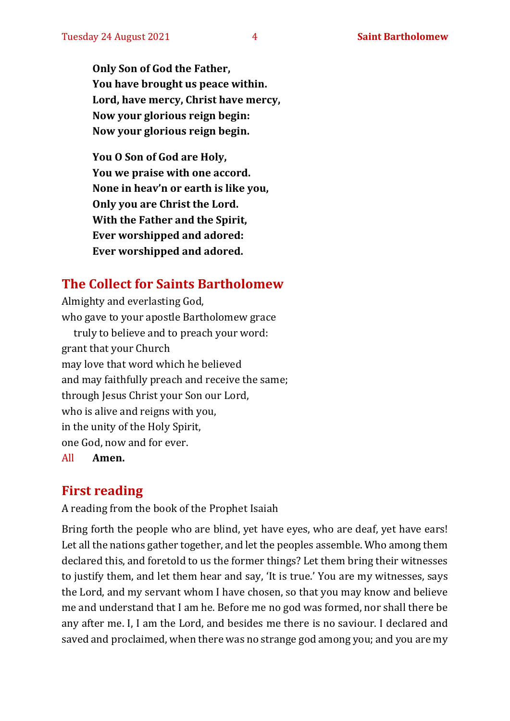**Only Son of God the Father, You have brought us peace within. Lord, have mercy, Christ have mercy, Now your glorious reign begin: Now your glorious reign begin.**

**You O Son of God are Holy, You we praise with one accord. None in heav'n or earth is like you, Only you are Christ the Lord. With the Father and the Spirit, Ever worshipped and adored: Ever worshipped and adored.**

# **The Collect for Saints Bartholomew**

Almighty and everlasting God, who gave to your apostle Bartholomew grace truly to believe and to preach your word: grant that your Church may love that word which he believed and may faithfully preach and receive the same; through Jesus Christ your Son our Lord, who is alive and reigns with you, in the unity of the Holy Spirit, one God, now and for ever.

All **Amen.**

# **First reading**

A reading from the book of the Prophet Isaiah

Bring forth the people who are blind, yet have eyes, who are deaf, yet have ears! Let all the nations gather together, and let the peoples assemble. Who among them declared this, and foretold to us the former things? Let them bring their witnesses to justify them, and let them hear and say, 'It is true.' You are my witnesses, says the Lord, and my servant whom I have chosen, so that you may know and believe me and understand that I am he. Before me no god was formed, nor shall there be any after me. I, I am the Lord, and besides me there is no saviour. I declared and saved and proclaimed, when there was no strange god among you; and you are my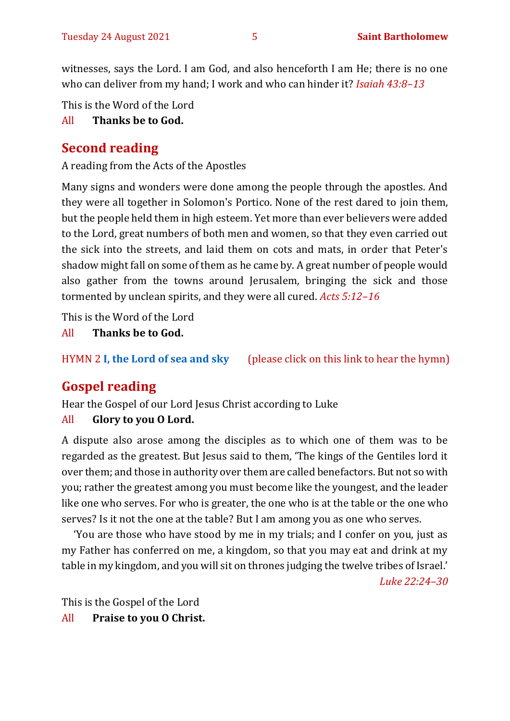witnesses, says the Lord. I am God, and also henceforth I am He; there is no one who can deliver from my hand; I work and who can hinder it? *Isaiah 43:8–13*

This is the Word of the Lord

All **Thanks be to God.**

# **Second reading**

A reading from the Acts of the Apostles

Many signs and wonders were done among the people through the apostles. And they were all together in Solomon's Portico. None of the rest dared to join them, but the people held them in high esteem. Yet more than ever believers were added to the Lord, great numbers of both men and women, so that they even carried out the sick into the streets, and laid them on cots and mats, in order that Peter's shadow might fall on some of them as he came by. A great number of people would also gather from the towns around Jerusalem, bringing the sick and those tormented by unclean spirits, and they were all cured. *Acts 5:12–16*

This is the Word of the Lord

All **Thanks be to God.**

HYMN 2 **[I, the Lord of sea and sky](https://www.youtube.com/watch?v=EcxOkht8w7c)** (please click on this link to hear the hymn)

# **Gospel reading**

Hear the Gospel of our Lord Jesus Christ according to Luke All **Glory to you O Lord.**

A dispute also arose among the disciples as to which one of them was to be regarded as the greatest. But Jesus said to them, 'The kings of the Gentiles lord it over them; and those in authority over them are called benefactors. But not so with you; rather the greatest among you must become like the youngest, and the leader like one who serves. For who is greater, the one who is at the table or the one who serves? Is it not the one at the table? But I am among you as one who serves.

'You are those who have stood by me in my trials; and I confer on you, just as my Father has conferred on me, a kingdom, so that you may eat and drink at my table in my kingdom, and you will sit on thrones judging the twelve tribes of Israel.'

*Luke 22:24–30*

This is the Gospel of the Lord All **Praise to you O Christ.**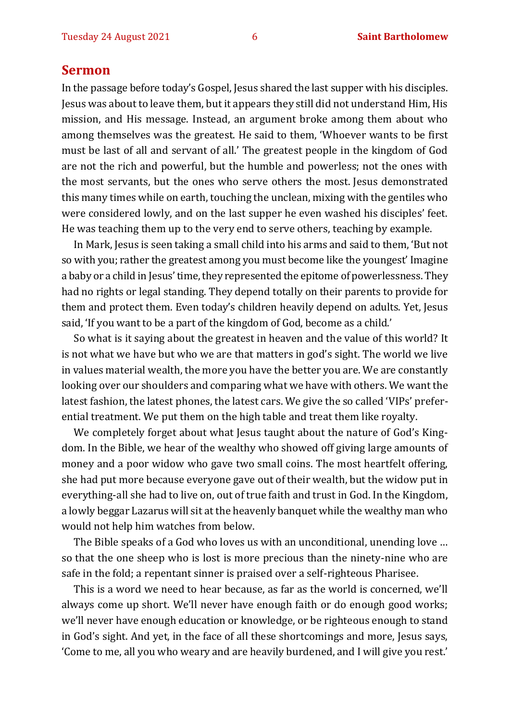#### **Sermon**

In the passage before today's Gospel, Jesus shared the last supper with his disciples. Jesus was about to leave them, but it appears they still did not understand Him, His mission, and His message. Instead, an argument broke among them about who among themselves was the greatest. He said to them, 'Whoever wants to be first must be last of all and servant of all.' The greatest people in the kingdom of God are not the rich and powerful, but the humble and powerless; not the ones with the most servants, but the ones who serve others the most. Jesus demonstrated this many times while on earth, touching the unclean, mixing with the gentiles who were considered lowly, and on the last supper he even washed his disciples' feet. He was teaching them up to the very end to serve others, teaching by example.

In Mark, Jesus is seen taking a small child into his arms and said to them, 'But not so with you; rather the greatest among you must become like the youngest' Imagine a baby or a child in Jesus' time, they represented the epitome of powerlessness. They had no rights or legal standing. They depend totally on their parents to provide for them and protect them. Even today's children heavily depend on adults. Yet, Jesus said, 'If you want to be a part of the kingdom of God, become as a child.'

So what is it saying about the greatest in heaven and the value of this world? It is not what we have but who we are that matters in god's sight. The world we live in values material wealth, the more you have the better you are. We are constantly looking over our shoulders and comparing what we have with others. We want the latest fashion, the latest phones, the latest cars. We give the so called 'VIPs' preferential treatment. We put them on the high table and treat them like royalty.

We completely forget about what Jesus taught about the nature of God's Kingdom. In the Bible, we hear of the wealthy who showed off giving large amounts of money and a poor widow who gave two small coins. The most heartfelt offering, she had put more because everyone gave out of their wealth, but the widow put in everything-all she had to live on, out of true faith and trust in God. In the Kingdom, a lowly beggar Lazarus will sit at the heavenly banquet while the wealthy man who would not help him watches from below.

The Bible speaks of a God who loves us with an unconditional, unending love … so that the one sheep who is lost is more precious than the ninety-nine who are safe in the fold; a repentant sinner is praised over a self-righteous Pharisee.

This is a word we need to hear because, as far as the world is concerned, we'll always come up short. We'll never have enough faith or do enough good works; we'll never have enough education or knowledge, or be righteous enough to stand in God's sight. And yet, in the face of all these shortcomings and more, Jesus says, 'Come to me, all you who weary and are heavily burdened, and I will give you rest.'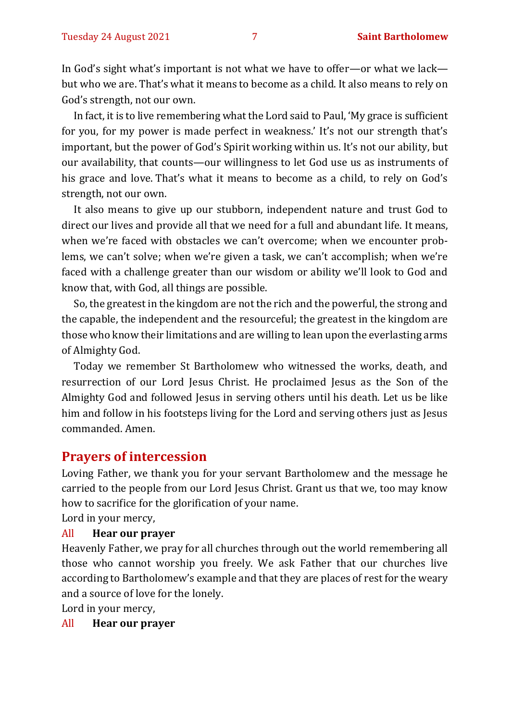In God's sight what's important is not what we have to offer—or what we lack but who we are. That's what it means to become as a child. It also means to rely on God's strength, not our own.

In fact, it is to live remembering what the Lord said to Paul, 'My grace is sufficient for you, for my power is made perfect in weakness.' It's not our strength that's important, but the power of God's Spirit working within us. It's not our ability, but our availability, that counts—our willingness to let God use us as instruments of his grace and love. That's what it means to become as a child, to rely on God's strength, not our own.

It also means to give up our stubborn, independent nature and trust God to direct our lives and provide all that we need for a full and abundant life. It means, when we're faced with obstacles we can't overcome; when we encounter problems, we can't solve; when we're given a task, we can't accomplish; when we're faced with a challenge greater than our wisdom or ability we'll look to God and know that, with God, all things are possible.

So, the greatest in the kingdom are not the rich and the powerful, the strong and the capable, the independent and the resourceful; the greatest in the kingdom are those who know their limitations and are willing to lean upon the everlasting arms of Almighty God.

Today we remember St Bartholomew who witnessed the works, death, and resurrection of our Lord Jesus Christ. He proclaimed Jesus as the Son of the Almighty God and followed Jesus in serving others until his death. Let us be like him and follow in his footsteps living for the Lord and serving others just as Jesus commanded. Amen.

### **Prayers of intercession**

Loving Father, we thank you for your servant Bartholomew and the message he carried to the people from our Lord Jesus Christ. Grant us that we, too may know how to sacrifice for the glorification of your name.

Lord in your mercy,

#### All **Hear our prayer**

Heavenly Father, we pray for all churches through out the world remembering all those who cannot worship you freely. We ask Father that our churches live according to Bartholomew's example and that they are places of rest for the weary and a source of love for the lonely.

Lord in your mercy,

All **Hear our prayer**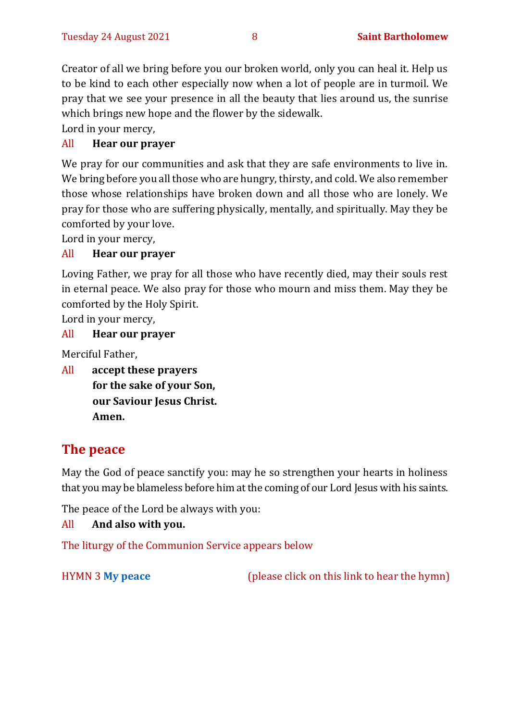Creator of all we bring before you our broken world, only you can heal it. Help us to be kind to each other especially now when a lot of people are in turmoil. We pray that we see your presence in all the beauty that lies around us, the sunrise which brings new hope and the flower by the sidewalk.

Lord in your mercy,

#### All **Hear our prayer**

We pray for our communities and ask that they are safe environments to live in. We bring before you all those who are hungry, thirsty, and cold. We also remember those whose relationships have broken down and all those who are lonely. We pray for those who are suffering physically, mentally, and spiritually. May they be comforted by your love.

Lord in your mercy,

#### All **Hear our prayer**

Loving Father, we pray for all those who have recently died, may their souls rest in eternal peace. We also pray for those who mourn and miss them. May they be comforted by the Holy Spirit.

Lord in your mercy,

#### All **Hear our prayer**

Merciful Father,

All **accept these prayers for the sake of your Son, our Saviour Jesus Christ. Amen.**

# **The peace**

May the God of peace sanctify you: may he so strengthen your hearts in holiness that you may be blameless before him at the coming of our Lord Jesus with his saints.

The peace of the Lord be always with you:

#### All **And also with you.**

The liturgy of the Communion Service appears below

HYMN 3 **[My peace](https://www.youtube.com/watch?v=ls01XGV7oA0)** (please click on this link to hear the hymn)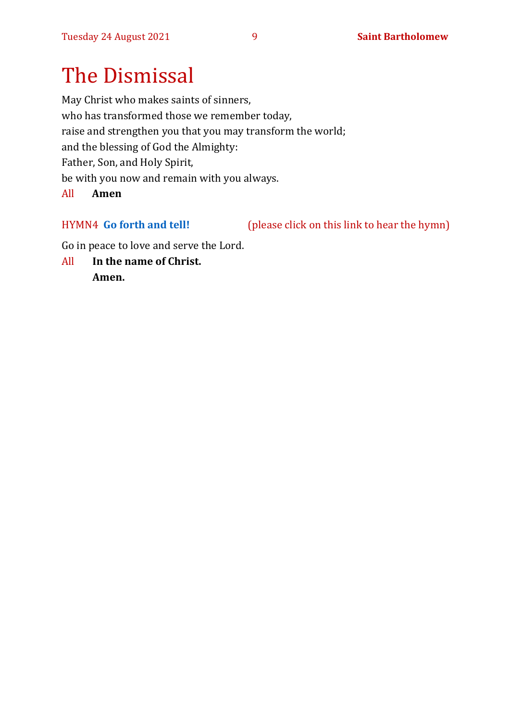# The Dismissal

May Christ who makes saints of sinners, who has transformed those we remember today, raise and strengthen you that you may transform the world; and the blessing of God the Almighty: Father, Son, and Holy Spirit, be with you now and remain with you always.

All **Amen** 

HYMN4 **[Go forth and tell!](https://www.youtube.com/watch?v=XNyDd9qtuk0)** (please click on this link to hear the hymn)

Go in peace to love and serve the Lord.

All **In the name of Christ. Amen.**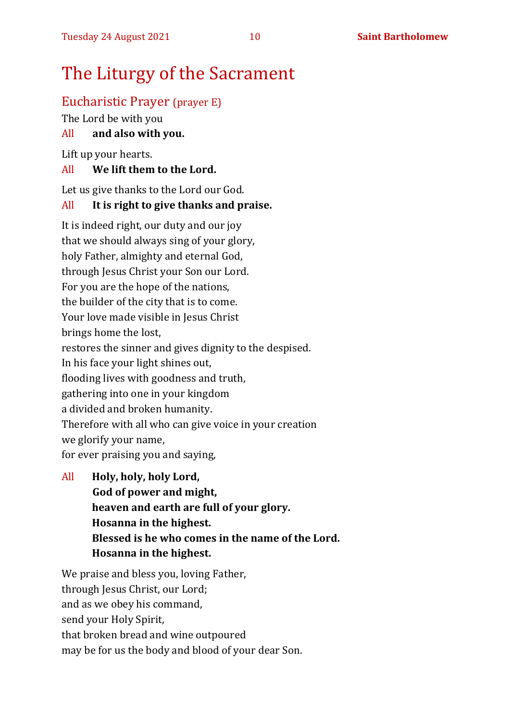# The Liturgy of the Sacrament

### Eucharistic Prayer (prayer E)

The Lord be with you

#### All **and also with you.**

Lift up your hearts.

#### All **We lift them to the Lord.**

Let us give thanks to the Lord our God.

#### All **It is right to give thanks and praise.**

It is indeed right, our duty and our joy that we should always sing of your glory, holy Father, almighty and eternal God, through Jesus Christ your Son our Lord. For you are the hope of the nations, the builder of the city that is to come. Your love made visible in Jesus Christ brings home the lost, restores the sinner and gives dignity to the despised. In his face your light shines out, flooding lives with goodness and truth, gathering into one in your kingdom a divided and broken humanity. Therefore with all who can give voice in your creation we glorify your name, for ever praising you and saying,

All **Holy, holy, holy Lord, God of power and might, heaven and earth are full of your glory. Hosanna in the highest. Blessed is he who comes in the name of the Lord. Hosanna in the highest.**

We praise and bless you, loving Father, through Jesus Christ, our Lord; and as we obey his command, send your Holy Spirit, that broken bread and wine outpoured may be for us the body and blood of your dear Son.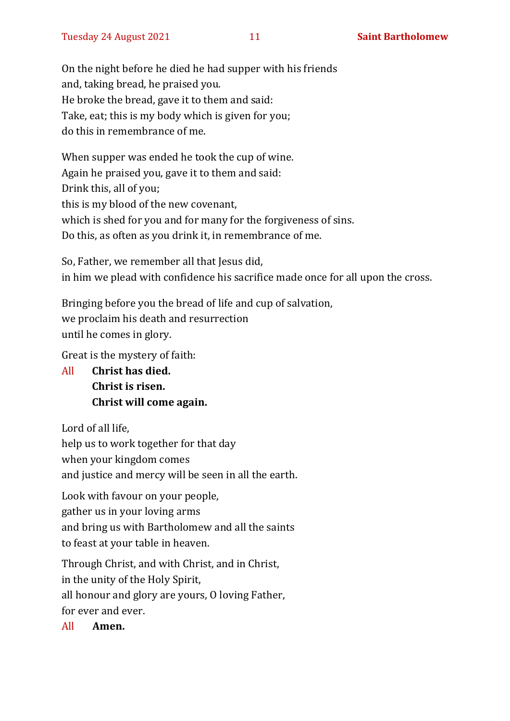On the night before he died he had supper with his friends and, taking bread, he praised you. He broke the bread, gave it to them and said: Take, eat; this is my body which is given for you; do this in remembrance of me.

When supper was ended he took the cup of wine. Again he praised you, gave it to them and said: Drink this, all of you; this is my blood of the new covenant, which is shed for you and for many for the forgiveness of sins. Do this, as often as you drink it, in remembrance of me.

So, Father, we remember all that Jesus did, in him we plead with confidence his sacrifice made once for all upon the cross.

Bringing before you the bread of life and cup of salvation, we proclaim his death and resurrection until he comes in glory.

Great is the mystery of faith:

All **Christ has died. Christ is risen. Christ will come again.**

Lord of all life,

help us to work together for that day

when your kingdom comes

and justice and mercy will be seen in all the earth.

Look with favour on your people, gather us in your loving arms and bring us with Bartholomew and all the saints to feast at your table in heaven.

Through Christ, and with Christ, and in Christ, in the unity of the Holy Spirit, all honour and glory are yours, O loving Father, for ever and ever.

All **Amen.**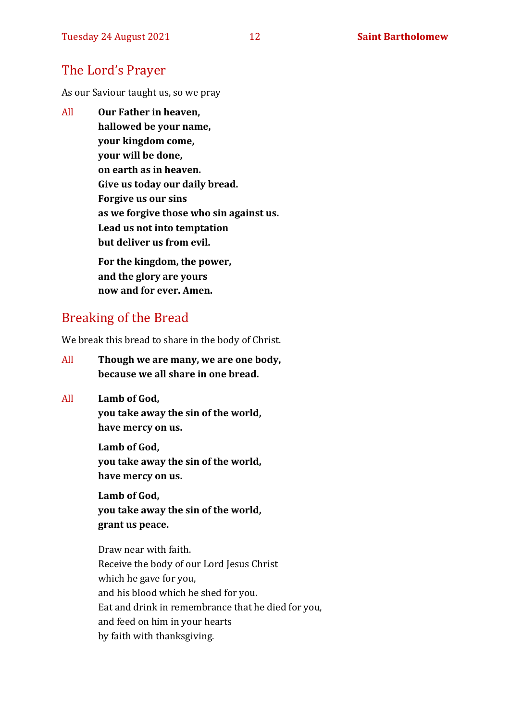# The Lord's Prayer

As our Saviour taught us, so we pray

All **Our Father in heaven, hallowed be your name, your kingdom come, your will be done, on earth as in heaven. Give us today our daily bread. Forgive us our sins as we forgive those who sin against us. Lead us not into temptation but deliver us from evil. For the kingdom, the power,** 

**and the glory are yours now and for ever. Amen.**

# Breaking of the Bread

We break this bread to share in the body of Christ.

- All **Though we are many, we are one body, because we all share in one bread.**
- All **Lamb of God, you take away the sin of the world, have mercy on us.**

**Lamb of God, you take away the sin of the world, have mercy on us.**

**Lamb of God, you take away the sin of the world, grant us peace.**

Draw near with faith. Receive the body of our Lord Jesus Christ which he gave for you, and his blood which he shed for you. Eat and drink in remembrance that he died for you, and feed on him in your hearts by faith with thanksgiving.